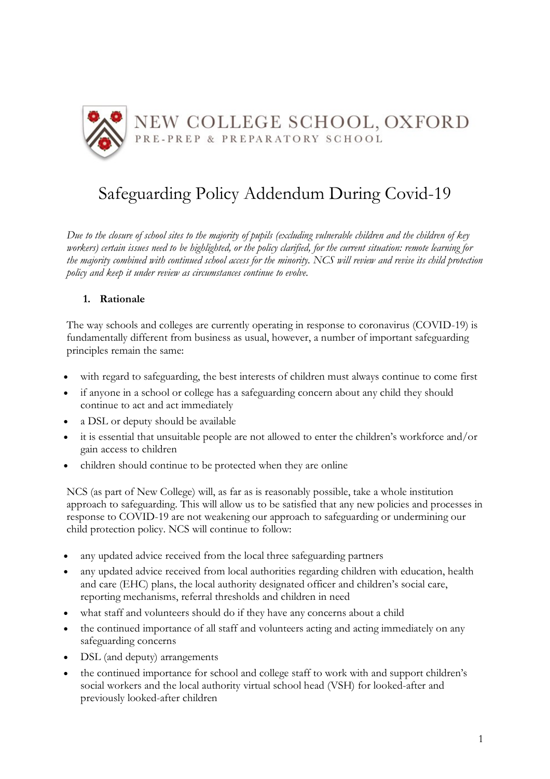

# Safeguarding Policy Addendum During Covid-19

*Due to the closure of school sites to the majority of pupils (excluding vulnerable children and the children of key workers) certain issues need to be highlighted, or the policy clarified, for the current situation: remote learning for the majority combined with continued school access for the minority. NCS will review and revise its child protection policy and keep it under review as circumstances continue to evolve.*

## **1. Rationale**

The way schools and colleges are currently operating in response to coronavirus (COVID-19) is fundamentally different from business as usual, however, a number of important safeguarding principles remain the same:

- with regard to safeguarding, the best interests of children must always continue to come first
- if anyone in a school or college has a safeguarding concern about any child they should continue to act and act immediately
- a DSL or deputy should be available
- it is essential that unsuitable people are not allowed to enter the children's workforce and/or gain access to children
- children should continue to be protected when they are online

NCS (as part of New College) will, as far as is reasonably possible, take a whole institution approach to safeguarding. This will allow us to be satisfied that any new policies and processes in response to COVID-19 are not weakening our approach to safeguarding or undermining our child protection policy. NCS will continue to follow:

- any updated advice received from the local three safeguarding partners
- any updated advice received from local authorities regarding children with education, health and care (EHC) plans, the local authority designated officer and children's social care, reporting mechanisms, referral thresholds and children in need
- what staff and volunteers should do if they have any concerns about a child
- the continued importance of all staff and volunteers acting and acting immediately on any safeguarding concerns
- DSL (and deputy) arrangements
- the continued importance for school and college staff to work with and support children's social workers and the local authority virtual school head (VSH) for looked-after and previously looked-after children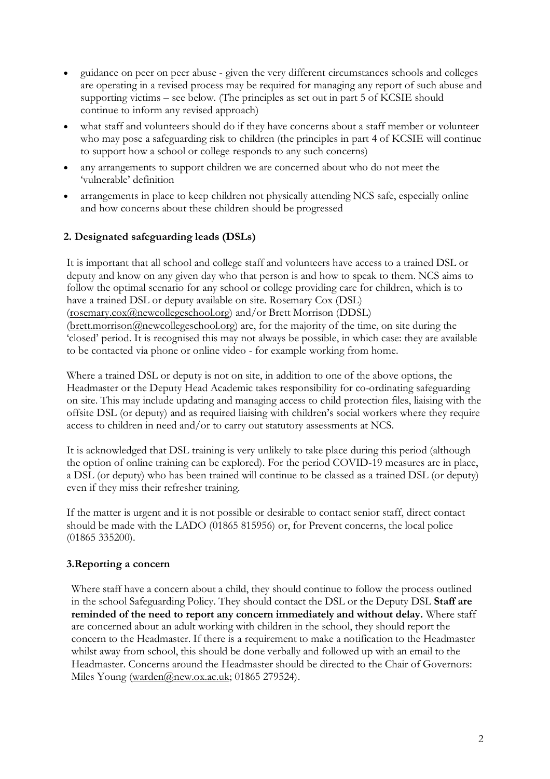- guidance on peer on peer abuse given the very different circumstances schools and colleges are operating in a revised process may be required for managing any report of such abuse and supporting victims – see below. (The principles as set out in part 5 of KCSIE should continue to inform any revised approach)
- what staff and volunteers should do if they have concerns about a staff member or volunteer who may pose a safeguarding risk to children (the principles in part 4 of KCSIE will continue to support how a school or college responds to any such concerns)
- any arrangements to support children we are concerned about who do not meet the 'vulnerable' definition
- arrangements in place to keep children not physically attending NCS safe, especially online and how concerns about these children should be progressed

## **2. Designated safeguarding leads (DSLs)**

It is important that all school and college staff and volunteers have access to a trained DSL or deputy and know on any given day who that person is and how to speak to them. NCS aims to follow the optimal scenario for any school or college providing care for children, which is to have a trained DSL or deputy available on site. Rosemary Cox (DSL) (rosemary.cox@newcollegeschool.org) and/or Brett Morrison (DDSL) (brett.morrison@newcollegeschool.org) are, for the majority of the time, on site during the 'closed' period. It is recognised this may not always be possible, in which case: they are available to be contacted via phone or online video - for example working from home.

Where a trained DSL or deputy is not on site, in addition to one of the above options, the Headmaster or the Deputy Head Academic takes responsibility for co-ordinating safeguarding on site. This may include updating and managing access to child protection files, liaising with the offsite DSL (or deputy) and as required liaising with children's social workers where they require access to children in need and/or to carry out statutory assessments at NCS.

It is acknowledged that DSL training is very unlikely to take place during this period (although the option of online training can be explored). For the period COVID-19 measures are in place, a DSL (or deputy) who has been trained will continue to be classed as a trained DSL (or deputy) even if they miss their refresher training.

If the matter is urgent and it is not possible or desirable to contact senior staff, direct contact should be made with the LADO (01865 815956) or, for Prevent concerns, the local police (01865 335200).

#### **3.Reporting a concern**

Where staff have a concern about a child, they should continue to follow the process outlined in the school Safeguarding Policy. They should contact the DSL or the Deputy DSL **Staff are reminded of the need to report any concern immediately and without delay.** Where staff are concerned about an adult working with children in the school, they should report the concern to the Headmaster. If there is a requirement to make a notification to the Headmaster whilst away from school, this should be done verbally and followed up with an email to the Headmaster. Concerns around the Headmaster should be directed to the Chair of Governors: Miles Young (warden@new.ox.ac.uk; 01865 279524).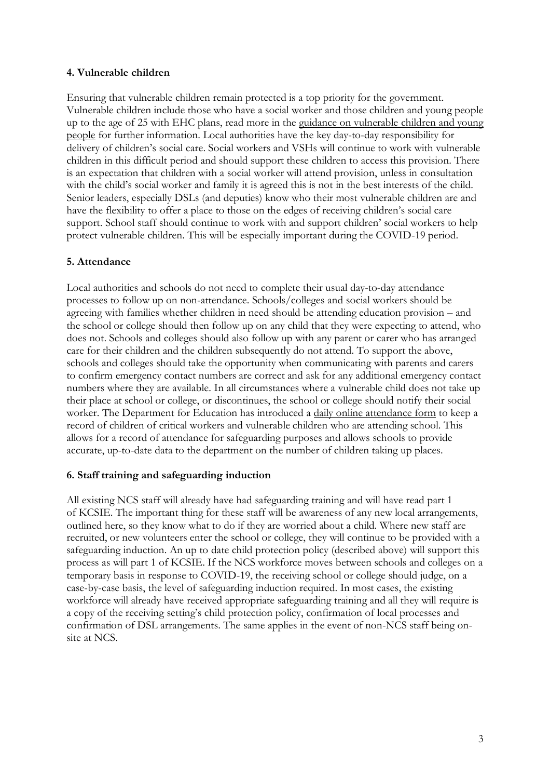#### **4. Vulnerable children**

Ensuring that vulnerable children remain protected is a top priority for the government. Vulnerable children include those who have a social worker and those children and young people up to the age of 25 with EHC plans, read more in the guidance on vulnerable children and young people for further information. Local authorities have the key day-to-day responsibility for delivery of children's social care. Social workers and VSHs will continue to work with vulnerable children in this difficult period and should support these children to access this provision. There is an expectation that children with a social worker will attend provision, unless in consultation with the child's social worker and family it is agreed this is not in the best interests of the child. Senior leaders, especially DSLs (and deputies) know who their most vulnerable children are and have the flexibility to offer a place to those on the edges of receiving children's social care support. School staff should continue to work with and support children' social workers to help protect vulnerable children. This will be especially important during the COVID-19 period.

## **5. Attendance**

Local authorities and schools do not need to complete their usual day-to-day attendance processes to follow up on non-attendance. Schools/colleges and social workers should be agreeing with families whether children in need should be attending education provision – and the school or college should then follow up on any child that they were expecting to attend, who does not. Schools and colleges should also follow up with any parent or carer who has arranged care for their children and the children subsequently do not attend. To support the above, schools and colleges should take the opportunity when communicating with parents and carers to confirm emergency contact numbers are correct and ask for any additional emergency contact numbers where they are available. In all circumstances where a vulnerable child does not take up their place at school or college, or discontinues, the school or college should notify their social worker. The Department for Education has introduced a daily online attendance form to keep a record of children of critical workers and vulnerable children who are attending school. This allows for a record of attendance for safeguarding purposes and allows schools to provide accurate, up-to-date data to the department on the number of children taking up places.

## **6. Staff training and safeguarding induction**

All existing NCS staff will already have had safeguarding training and will have read part 1 of KCSIE. The important thing for these staff will be awareness of any new local arrangements, outlined here, so they know what to do if they are worried about a child. Where new staff are recruited, or new volunteers enter the school or college, they will continue to be provided with a safeguarding induction. An up to date child protection policy (described above) will support this process as will part 1 of KCSIE. If the NCS workforce moves between schools and colleges on a temporary basis in response to COVID-19, the receiving school or college should judge, on a case-by-case basis, the level of safeguarding induction required. In most cases, the existing workforce will already have received appropriate safeguarding training and all they will require is a copy of the receiving setting's child protection policy, confirmation of local processes and confirmation of DSL arrangements. The same applies in the event of non-NCS staff being onsite at NCS.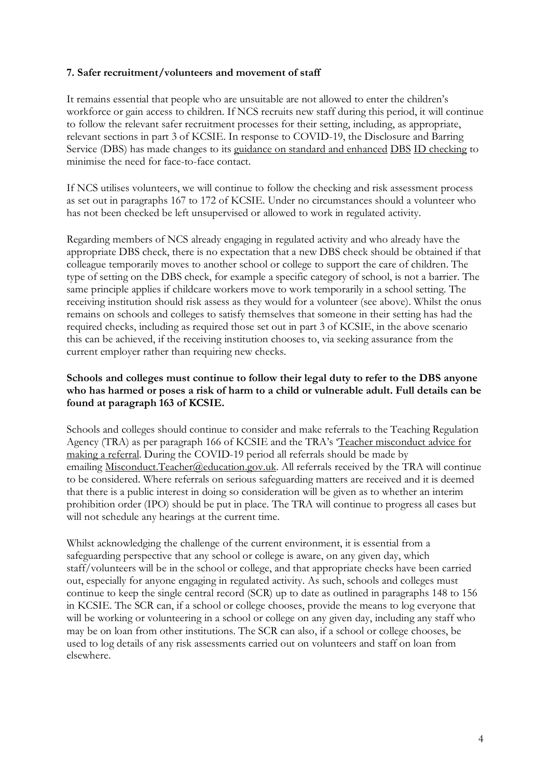#### **7. Safer recruitment/volunteers and movement of staff**

It remains essential that people who are unsuitable are not allowed to enter the children's workforce or gain access to children. If NCS recruits new staff during this period, it will continue to follow the relevant safer recruitment processes for their setting, including, as appropriate, relevant sections in part 3 of KCSIE. In response to COVID-19, the Disclosure and Barring Service (DBS) has made changes to its guidance on standard and enhanced DBS ID checking to minimise the need for face-to-face contact.

If NCS utilises volunteers, we will continue to follow the checking and risk assessment process as set out in paragraphs 167 to 172 of KCSIE. Under no circumstances should a volunteer who has not been checked be left unsupervised or allowed to work in regulated activity.

Regarding members of NCS already engaging in regulated activity and who already have the appropriate DBS check, there is no expectation that a new DBS check should be obtained if that colleague temporarily moves to another school or college to support the care of children. The type of setting on the DBS check, for example a specific category of school, is not a barrier. The same principle applies if childcare workers move to work temporarily in a school setting. The receiving institution should risk assess as they would for a volunteer (see above). Whilst the onus remains on schools and colleges to satisfy themselves that someone in their setting has had the required checks, including as required those set out in part 3 of KCSIE, in the above scenario this can be achieved, if the receiving institution chooses to, via seeking assurance from the current employer rather than requiring new checks.

### **Schools and colleges must continue to follow their legal duty to refer to the DBS anyone who has harmed or poses a risk of harm to a child or vulnerable adult. Full details can be found at paragraph 163 of KCSIE.**

Schools and colleges should continue to consider and make referrals to the Teaching Regulation Agency (TRA) as per paragraph 166 of KCSIE and the TRA's 'Teacher misconduct advice for making a referral. During the COVID-19 period all referrals should be made by emailing Misconduct.Teacher@education.gov.uk. All referrals received by the TRA will continue to be considered. Where referrals on serious safeguarding matters are received and it is deemed that there is a public interest in doing so consideration will be given as to whether an interim prohibition order (IPO) should be put in place. The TRA will continue to progress all cases but will not schedule any hearings at the current time.

Whilst acknowledging the challenge of the current environment, it is essential from a safeguarding perspective that any school or college is aware, on any given day, which staff/volunteers will be in the school or college, and that appropriate checks have been carried out, especially for anyone engaging in regulated activity. As such, schools and colleges must continue to keep the single central record (SCR) up to date as outlined in paragraphs 148 to 156 in KCSIE. The SCR can, if a school or college chooses, provide the means to log everyone that will be working or volunteering in a school or college on any given day, including any staff who may be on loan from other institutions. The SCR can also, if a school or college chooses, be used to log details of any risk assessments carried out on volunteers and staff on loan from elsewhere.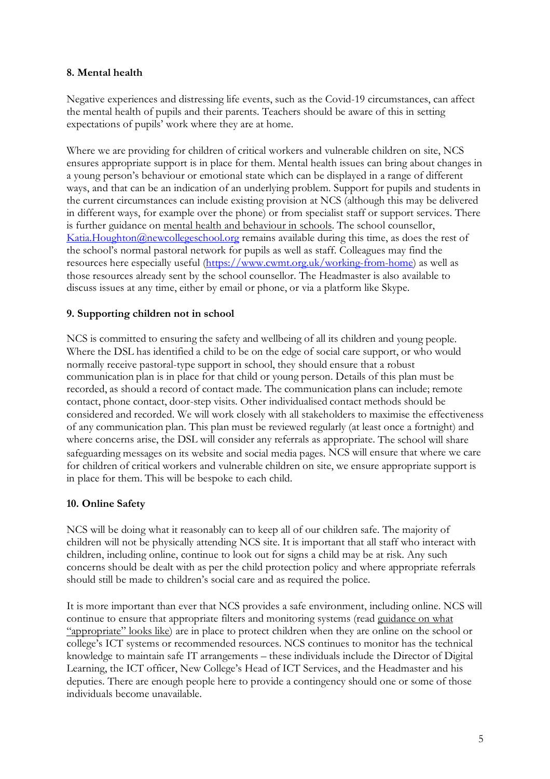#### **8. Mental health**

Negative experiences and distressing life events, such as the Covid-19 circumstances, can affect the mental health of pupils and their parents. Teachers should be aware of this in setting expectations of pupils' work where they are at home.

Where we are providing for children of critical workers and vulnerable children on site, NCS ensures appropriate support is in place for them. Mental health issues can bring about changes in a young person's behaviour or emotional state which can be displayed in a range of different ways, and that can be an indication of an underlying problem. Support for pupils and students in the current circumstances can include existing provision at NCS (although this may be delivered in different ways, for example over the phone) or from specialist staff or support services. There is further guidance on mental health and behaviour in schools. The school counsellor, Katia.Houghton@newcollegeschool.org remains available during this time, as does the rest of the school's normal pastoral network for pupils as well as staff. Colleagues may find the resources here especially useful (https://www.cwmt.org.uk/working-from-home) as well as those resources already sent by the school counsellor. The Headmaster is also available to discuss issues at any time, either by email or phone, or via a platform like Skype.

## **9. Supporting children not in school**

NCS is committed to ensuring the safety and wellbeing of all its children and young people. Where the DSL has identified a child to be on the edge of social care support, or who would normally receive pastoral-type support in school, they should ensure that a robust communication plan is in place for that child or young person. Details of this plan must be recorded, as should a record of contact made. The communication plans can include; remote contact, phone contact, door-step visits. Other individualised contact methods should be considered and recorded. We will work closely with all stakeholders to maximise the effectiveness of any communication plan. This plan must be reviewed regularly (at least once a fortnight) and where concerns arise, the DSL will consider any referrals as appropriate. The school will share safeguarding messages on its website and social media pages. NCS will ensure that where we care for children of critical workers and vulnerable children on site, we ensure appropriate support is in place for them. This will be bespoke to each child.

#### **10. Online Safety**

NCS will be doing what it reasonably can to keep all of our children safe. The majority of children will not be physically attending NCS site. It is important that all staff who interact with children, including online, continue to look out for signs a child may be at risk. Any such concerns should be dealt with as per the child protection policy and where appropriate referrals should still be made to children's social care and as required the police.

It is more important than ever that NCS provides a safe environment, including online. NCS will continue to ensure that appropriate filters and monitoring systems (read guidance on what "appropriate" looks like) are in place to protect children when they are online on the school or college's ICT systems or recommended resources. NCS continues to monitor has the technical knowledge to maintain safe IT arrangements – these individuals include the Director of Digital Learning, the ICT officer, New College's Head of ICT Services, and the Headmaster and his deputies. There are enough people here to provide a contingency should one or some of those individuals become unavailable.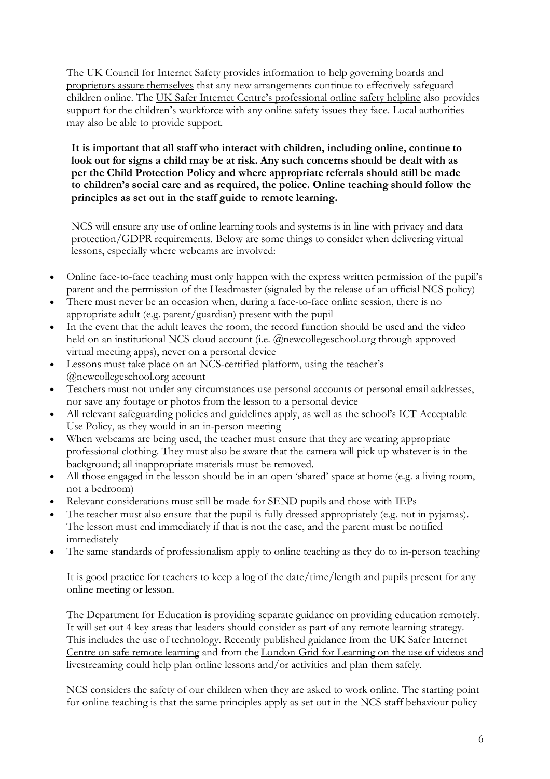The UK Council for Internet Safety provides information to help governing boards and proprietors assure themselves that any new arrangements continue to effectively safeguard children online. The UK Safer Internet Centre's professional online safety helpline also provides support for the children's workforce with any online safety issues they face. Local authorities may also be able to provide support.

**It is important that all staff who interact with children, including online, continue to look out for signs a child may be at risk. Any such concerns should be dealt with as per the Child Protection Policy and where appropriate referrals should still be made to children's social care and as required, the police. Online teaching should follow the principles as set out in the staff guide to remote learning.**

NCS will ensure any use of online learning tools and systems is in line with privacy and data protection/GDPR requirements. Below are some things to consider when delivering virtual lessons, especially where webcams are involved:

- Online face-to-face teaching must only happen with the express written permission of the pupil's parent and the permission of the Headmaster (signaled by the release of an official NCS policy)
- There must never be an occasion when, during a face-to-face online session, there is no appropriate adult (e.g. parent/guardian) present with the pupil
- In the event that the adult leaves the room, the record function should be used and the video held on an institutional NCS cloud account (i.e. @newcollegeschool.org through approved virtual meeting apps), never on a personal device
- Lessons must take place on an NCS-certified platform, using the teacher's @newcollegeschool.org account
- Teachers must not under any circumstances use personal accounts or personal email addresses, nor save any footage or photos from the lesson to a personal device
- All relevant safeguarding policies and guidelines apply, as well as the school's ICT Acceptable Use Policy, as they would in an in-person meeting
- When webcams are being used, the teacher must ensure that they are wearing appropriate professional clothing. They must also be aware that the camera will pick up whatever is in the background; all inappropriate materials must be removed.
- All those engaged in the lesson should be in an open 'shared' space at home (e.g. a living room, not a bedroom)
- Relevant considerations must still be made for SEND pupils and those with IEPs
- The teacher must also ensure that the pupil is fully dressed appropriately (e.g. not in pyjamas). The lesson must end immediately if that is not the case, and the parent must be notified immediately
- The same standards of professionalism apply to online teaching as they do to in-person teaching

It is good practice for teachers to keep a log of the date/time/length and pupils present for any online meeting or lesson.

The Department for Education is providing separate guidance on providing education remotely. It will set out 4 key areas that leaders should consider as part of any remote learning strategy. This includes the use of technology. Recently published guidance from the UK Safer Internet Centre on safe remote learning and from the London Grid for Learning on the use of videos and livestreaming could help plan online lessons and/or activities and plan them safely.

NCS considers the safety of our children when they are asked to work online. The starting point for online teaching is that the same principles apply as set out in the NCS staff behaviour policy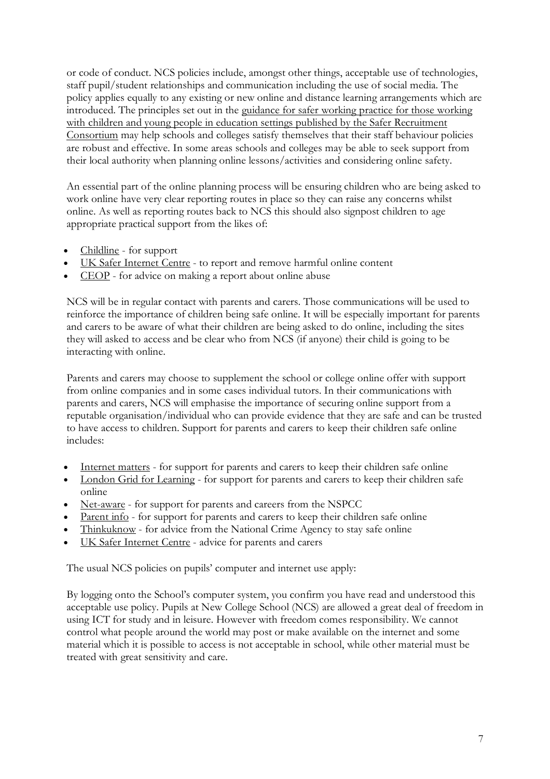or code of conduct. NCS policies include, amongst other things, acceptable use of technologies, staff pupil/student relationships and communication including the use of social media. The policy applies equally to any existing or new online and distance learning arrangements which are introduced. The principles set out in the guidance for safer working practice for those working with children and young people in education settings published by the Safer Recruitment Consortium may help schools and colleges satisfy themselves that their staff behaviour policies are robust and effective. In some areas schools and colleges may be able to seek support from their local authority when planning online lessons/activities and considering online safety.

An essential part of the online planning process will be ensuring children who are being asked to work online have very clear reporting routes in place so they can raise any concerns whilst online. As well as reporting routes back to NCS this should also signpost children to age appropriate practical support from the likes of:

- Childline for support
- UK Safer Internet Centre to report and remove harmful online content
- CEOP for advice on making a report about online abuse

NCS will be in regular contact with parents and carers. Those communications will be used to reinforce the importance of children being safe online. It will be especially important for parents and carers to be aware of what their children are being asked to do online, including the sites they will asked to access and be clear who from NCS (if anyone) their child is going to be interacting with online.

Parents and carers may choose to supplement the school or college online offer with support from online companies and in some cases individual tutors. In their communications with parents and carers, NCS will emphasise the importance of securing online support from a reputable organisation/individual who can provide evidence that they are safe and can be trusted to have access to children. Support for parents and carers to keep their children safe online includes:

- Internet matters for support for parents and carers to keep their children safe online
- London Grid for Learning for support for parents and carers to keep their children safe online
- Net-aware for support for parents and careers from the NSPCC
- Parent info for support for parents and carers to keep their children safe online
- Thinkuknow for advice from the National Crime Agency to stay safe online
- UK Safer Internet Centre advice for parents and carers

The usual NCS policies on pupils' computer and internet use apply:

By logging onto the School's computer system, you confirm you have read and understood this acceptable use policy. Pupils at New College School (NCS) are allowed a great deal of freedom in using ICT for study and in leisure. However with freedom comes responsibility. We cannot control what people around the world may post or make available on the internet and some material which it is possible to access is not acceptable in school, while other material must be treated with great sensitivity and care.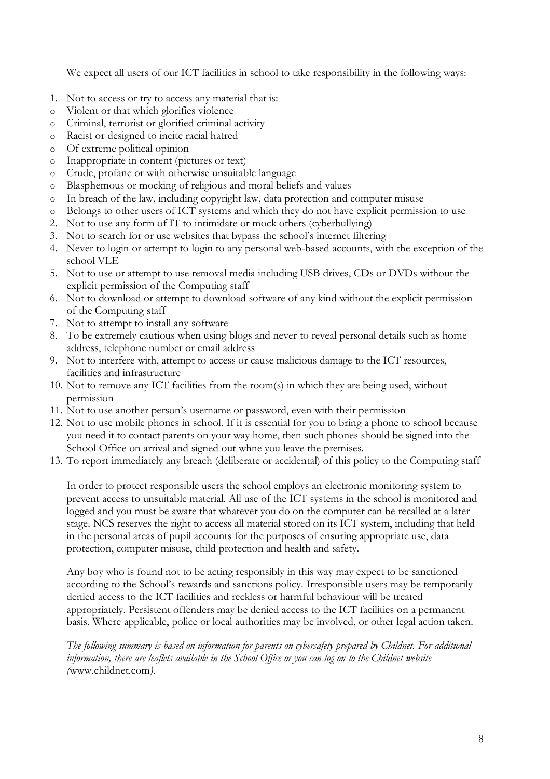We expect all users of our ICT facilities in school to take responsibility in the following ways:

- 1. Not to access or try to access any material that is:
- o Violent or that which glorifies violence
- o Criminal, terrorist or glorified criminal activity
- o Racist or designed to incite racial hatred
- o Of extreme political opinion
- o Inappropriate in content (pictures or text)
- o Crude, profane or with otherwise unsuitable language
- o Blasphemous or mocking of religious and moral beliefs and values
- o In breach of the law, including copyright law, data protection and computer misuse
- o Belongs to other users of ICT systems and which they do not have explicit permission to use
- 2. Not to use any form of IT to intimidate or mock others (cyberbullying)
- 3. Not to search for or use websites that bypass the school's internet filtering
- 4. Never to login or attempt to login to any personal web-based accounts, with the exception of the school VLE
- 5. Not to use or attempt to use removal media including USB drives, CDs or DVDs without the explicit permission of the Computing staff
- 6. Not to download or attempt to download software of any kind without the explicit permission of the Computing staff
- 7. Not to attempt to install any software
- 8. To be extremely cautious when using blogs and never to reveal personal details such as home address, telephone number or email address
- 9. Not to interfere with, attempt to access or cause malicious damage to the ICT resources, facilities and infrastructure
- 10. Not to remove any ICT facilities from the room(s) in which they are being used, without permission
- 11. Not to use another person's username or password, even with their permission
- 12. Not to use mobile phones in school. If it is essential for you to bring a phone to school because you need it to contact parents on your way home, then such phones should be signed into the School Office on arrival and signed out whne you leave the premises.
- 13. To report immediately any breach (deliberate or accidental) of this policy to the Computing staff

In order to protect responsible users the school employs an electronic monitoring system to prevent access to unsuitable material. All use of the ICT systems in the school is monitored and logged and you must be aware that whatever you do on the computer can be recalled at a later stage. NCS reserves the right to access all material stored on its ICT system, including that held in the personal areas of pupil accounts for the purposes of ensuring appropriate use, data protection, computer misuse, child protection and health and safety.

Any boy who is found not to be acting responsibly in this way may expect to be sanctioned according to the School's rewards and sanctions policy. Irresponsible users may be temporarily denied access to the ICT facilities and reckless or harmful behaviour will be treated appropriately. Persistent offenders may be denied access to the ICT facilities on a permanent basis. Where applicable, police or local authorities may be involved, or other legal action taken.

*The following summary is based on information for parents on cybersafety prepared by Childnet. For additional information, there are leaflets available in the School Office or you can log on to the Childnet website (*www.childnet.com*).*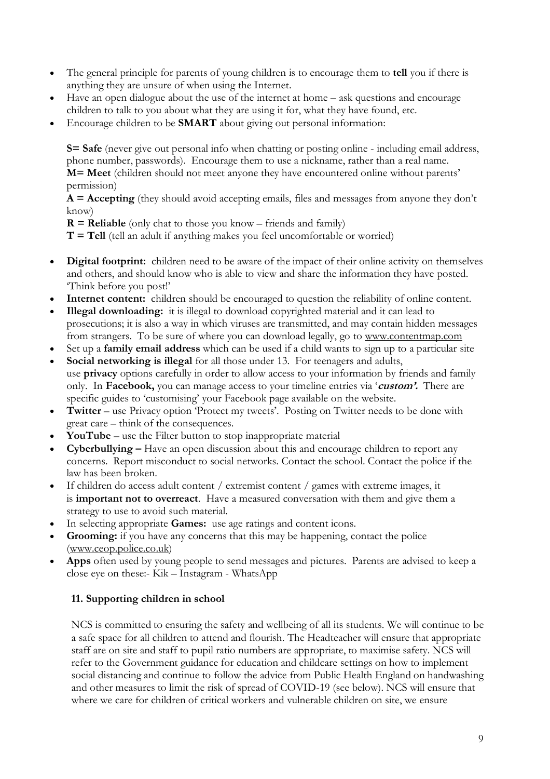- The general principle for parents of young children is to encourage them to **tell** you if there is anything they are unsure of when using the Internet.
- Have an open dialogue about the use of the internet at home ask questions and encourage children to talk to you about what they are using it for, what they have found, etc.
- Encourage children to be **SMART** about giving out personal information:

**S= Safe** (never give out personal info when chatting or posting online - including email address, phone number, passwords). Encourage them to use a nickname, rather than a real name. **M= Meet** (children should not meet anyone they have encountered online without parents' permission)

**A = Accepting** (they should avoid accepting emails, files and messages from anyone they don't know)

**R = Reliable** (only chat to those you know – friends and family)

**T = Tell** (tell an adult if anything makes you feel uncomfortable or worried)

- **Digital footprint:** children need to be aware of the impact of their online activity on themselves and others, and should know who is able to view and share the information they have posted. 'Think before you post!'
- **Internet content:** children should be encouraged to question the reliability of online content.
- **Illegal downloading:** it is illegal to download copyrighted material and it can lead to prosecutions; it is also a way in which viruses are transmitted, and may contain hidden messages from strangers. To be sure of where you can download legally, go to www.contentmap.com
- Set up a **family email address** which can be used if a child wants to sign up to a particular site
- **Social networking is illegal** for all those under 13. For teenagers and adults, use **privacy** options carefully in order to allow access to your information by friends and family only. In **Facebook,** you can manage access to your timeline entries via '**custom'.** There are specific guides to 'customising' your Facebook page available on the website.
- **Twitter** use Privacy option 'Protect my tweets'. Posting on Twitter needs to be done with great care – think of the consequences.
- **YouTube** use the Filter button to stop inappropriate material
- **Cyberbullying –** Have an open discussion about this and encourage children to report any concerns. Report misconduct to social networks. Contact the school. Contact the police if the law has been broken.
- If children do access adult content / extremist content / games with extreme images, it is **important not to overreact**. Have a measured conversation with them and give them a strategy to use to avoid such material.
- In selecting appropriate **Games:** use age ratings and content icons.
- **Grooming:** if you have any concerns that this may be happening, contact the police (www.ceop.police.co.uk)
- **Apps** often used by young people to send messages and pictures. Parents are advised to keep a close eye on these:- Kik – Instagram - WhatsApp

## **11. Supporting children in school**

NCS is committed to ensuring the safety and wellbeing of all its students. We will continue to be a safe space for all children to attend and flourish. The Headteacher will ensure that appropriate staff are on site and staff to pupil ratio numbers are appropriate, to maximise safety. NCS will refer to the Government guidance for education and childcare settings on how to implement social distancing and continue to follow the advice from Public Health England on handwashing and other measures to limit the risk of spread of COVID-19 (see below). NCS will ensure that where we care for children of critical workers and vulnerable children on site, we ensure